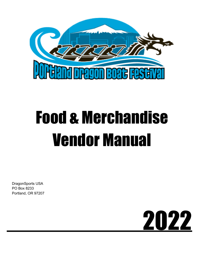

# Food & Merchandise Vendor Manual

DragonSports USA PO Box 8233 Portland, OR 97207

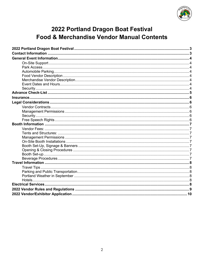

# 2022 Portland Dragon Boat Festival **Food & Merchandise Vendor Manual Contents**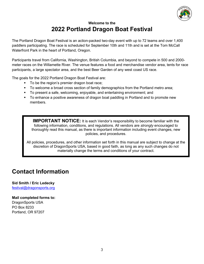

### **Welcome to the 2022 Portland Dragon Boat Festival**

The Portland Dragon Boat Festival is an action-packed two-day event with up to 72 teams and over 1,400 paddlers participating. The race is scheduled for September 10th and 11th and is set at the Tom McCall Waterfront Park in the heart of Portland, Oregon.

Participants travel from California, Washington, British Columbia, and beyond to compete in 500 and 2000 meter races on the Willamette River. The venue features a food and merchandise vendor area, tents for race participants, a large spectator area, and the best Beer Garden of any west coast US race.

The goals for the 2022 Portland Dragon Boat Festival are:

- To be the region's premier dragon boat race;
- § To welcome a broad cross section of family demographics from the Portland metro area;
- § To present a safe, welcoming, enjoyable, and entertaining environment; and
- § To enhance a positive awareness of dragon boat paddling in Portland and to promote new members.

**IMPORTANT NOTICE:** It is each Vendor's responsibility to become familiar with the following information, conditions, and regulations. All vendors are *strongly* encouraged to thoroughly read this manual, as there is important information including event changes, new policies, and procedures.

All policies, procedures, and other information set forth in this manual are subject to change at the discretion of DragonSports USA, based in good faith, as long as any such changes do not materially change the terms and conditions of your contract.

# **Contact Information**

## **Sid Smith / Eric Ledecky**

festival@dragonsports.org

#### **Mail completed forms to:**

DragonSports USA PO Box 8233 Portland, OR 97207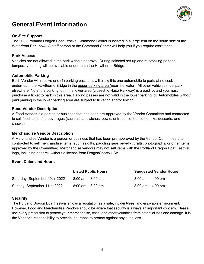

## **General Event Information**

#### **On-Site Support**

The 2022 Portland Dragon Boat Festival Command Center is located in a large tent on the south side of the Waterfront Park bowl. A staff person at the Command Center will help you if you require assistance.

#### **Park Access**

Vehicles are not allowed in the park without approval. During selected set-up and re-stocking periods, temporary parking will be available underneath the Hawthorne Bridge.

#### **Automobile Parking**

Each Vendor will receive one (1) parking pass that will allow this one automobile to park, at no cost, underneath the Hawthorne Bridge in the upper parking area (near the water). All other vehicles must park elsewhere. Note: the parking lot in the lower area (closest to Naito Parkway) is a paid lot and you must purchase a ticket to park in this area. Parking passes are not valid in the lower parking lot. Automobiles without paid parking in the lower parking area are subject to ticketing and/or towing.

#### **Food Vendor Description**

A Food Vendor is a person or business that has been pre-approved by the Vendor Committee and contracted to sell food items and beverages (such as sandwiches, bowls, entrees, coffee, soft drinks, desserts, and snacks).

#### **Merchandise Vendor Description**

A Merchandise Vendor is a person or business that has been pre-approved by the Vendor Committee and contracted to sell merchandise items (such as gifts, paddling gear, jewelry, crafts, photographs, or other items approved by the Committee). Merchandise vendors may not sell items with the Portland Dragon Boat Festival logo, including apparel, without a license from DragonSports USA.

#### **Event Dates and Hours**

|                                | <b>Listed Public Hours</b> | <b>Suggested Vendor Hours</b>       |
|--------------------------------|----------------------------|-------------------------------------|
| Saturday, September 10th, 2022 | $8:00$ am $-8:00$ pm       | $8:00$ am $-4:00$ pm                |
| Sunday, September 11th, 2022   | $8:00$ am $-8:00$ pm       | $8:00 \text{ am} - 4:00 \text{ pm}$ |

#### **Security**

The Portland Dragon Boat Festival enjoys a reputation as a safe, incident-free, and enjoyable environment. However, Food and Merchandise Vendors should be aware that security is always an important concern. Please use every precaution to protect your merchandise, cash, and other valuables from potential loss and damage. It is the Vendor's responsibility to provide insurance to protect against any such loss.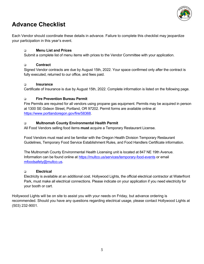

## **Advance Checklist**

Each Vendor should coordinate these details in advance. Failure to complete this checklist may jeopardize your participation in this year's event.

#### q **Menu List and Prices**

Submit a complete list of menu items with prices to the Vendor Committee with your application.

#### q **Contract**

Signed Vendor contracts are due by August 15th, 2022. Your space confirmed only after the contract is fully executed, returned to our office, and fees paid.

#### q **Insurance**

Certificate of Insurance is due by August 15th, 2022. Complete information is listed on the following page.

#### q **Fire Prevention Bureau Permit**

Fire Permits are required for all vendors using propane gas equipment. Permits may be acquired in person at 1300 SE Gideon Street, Portland, OR 97202. Permit forms are available online at https://www.portlandoregon.gov/fire/58368.

#### q **Multnomah County Environmental Health Permit**

All Food Vendors selling food items **must** acquire a Temporary Restaurant License.

Food Vendors must read and be familiar with the Oregon Health Division Temporary Restaurant Guidelines, Temporary Food Service Establishment Rules, and Food Handlers Certificate information.

The Multnomah County Environmental Health Licensing unit is located at 847 NE 19th Avenue. Information can be found online at https://multco.us/services/temporary-food-events or email mfoodsafety@multco.us.

#### q **Electrical**

Electricity is available at an additional cost. Hollywood Lights, the official electrical contractor at Waterfront Park, must make all electrical connections. Please indicate on your application if you need electricity for your booth or cart.

Hollywood Lights will be on site to assist you with your needs on Friday, but advance ordering is recommended. Should you have any questions regarding electrical usage, please contact Hollywood Lights at (503) 232-9001.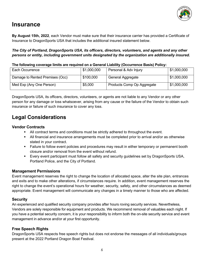

## **Insurance**

**By August 15th, 2022**, each Vendor must make sure that their insurance carrier has provided a Certificate of Insurance to DragonSports USA that includes the additional insured statement below.

*The City of Portland, DragonSports USA, its officers, directors, volunteers, and agents and any other persons or entity, including government units designated by the organization are additionally insured.* 

#### **The following coverage limits are required on a General Liability (Occurrence Basis) Policy:**

| Each Occurrence                 | \$1,000,000 | Personal & Adv Injury      | \$1,000,000 |
|---------------------------------|-------------|----------------------------|-------------|
| Damage to Rented Premises (Occ) | \$100,000   | General Aggregate          | \$1,000,000 |
| Med Exp (Any One Person)        | \$5,000     | Products Comp Op Aggregate | \$1,000,000 |

DragonSports USA, its officers, directors, volunteers, or agents are not liable to any Vendor or any other person for any damage or loss whatsoever, arising from any cause or the failure of the Vendor to obtain such insurance or failure of such insurance to cover any loss.

## **Legal Considerations**

#### **Vendor Contracts**

- **•** All contract terms and conditions must be strictly adhered to throughout the event.
- All financial and insurance arrangements must be completed prior to arrival and/or as otherwise stated in your contract.
- Failure to follow event policies and procedures may result in either temporary or permanent booth closure and/or removal from the event without refund.
- § Every event participant must follow all safety and security guidelines set by DragonSports USA, Portland Police, and the City of Portland.

#### **Management Permissions**

Event management reserves the right to change the location of allocated space, alter the site plan, entrances and exits and to make other alterations, if circumstances require. In addition, event management reserves the right to change the event's operational hours for weather, security, safety, and other circumstances as deemed appropriate. Event management will communicate any changes in a timely manner to those who are affected.

#### **Security**

An experienced and qualified security company provides after hours roving security services. Nevertheless, Vendors are solely responsible for equipment and products. We recommend removal of valuables each night. If you have a potential security concern, it is your responsibility to inform both the on-site security service and event management in advance and/or at your first opportunity.

#### **Free Speech Rights**

DragonSports USA respects free speech rights but does not endorse the messages of all individuals/groups present at the 2022 Portland Dragon Boat Festival.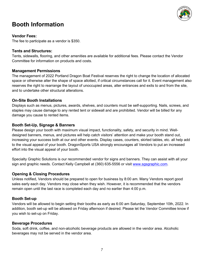

## **Booth Information**

#### **Vendor Fees:**

The fee to participate as a vendor is \$350.

#### **Tents and Structures:**

Tents, sidewalls, flooring, and other amenities are available for additional fees. Please contact the Vendor Committee for information on products and costs.

#### **Management Permissions**

The management of 2022 Portland Dragon Boat Festival reserves the right to change the location of allocated space or otherwise alter the shape of space allotted, if critical circumstances call for it. Event management also reserves the right to rearrange the layout of unoccupied areas, alter entrances and exits to and from the site, and to undertake other structural alterations.

#### **On-Site Booth Installations**

Displays such as menus, pictures, awards, shelves, and counters must be self-supporting. Nails, screws, and staples may cause damage to any rented tent or sidewall and are prohibited. Vendor will be billed for any damage you cause to rented items.

#### **Booth Set-Up, Signage & Banners**

Please design your booth with maximum visual impact, functionality, safety, and security in mind. Welldesigned banners, menus, and pictures will help catch visitors' attention and make your booth stand out, increasing your success both at our and other events. Display cases, counters, skirted tables, etc. all help add to the visual appeal of your booth. DragonSports USA strongly encourages all Vendors to put an increased effort into the visual appeal of your booth.

Specialty Graphic Solutions is our recommended vendor for signs and banners. They can assist with all your sign and graphic needs. Contact Kelly Campbell at (360) 635-5556 or visit www.sgsgraphic.com.

#### **Opening & Closing Procedures**

Unless notified, Vendors should be prepared to open for business by 8:00 am. Many Vendors report good sales early each day. Vendors may close when they wish. However, it is recommended that the vendors remain open until the last race is completed each day and no earlier than 4:00 p.m.

#### **Booth Set-up**

Vendors will be allowed to begin setting their booths as early as 6:00 am Saturday, September 10th, 2022. In addition, booth set-up will be allowed on Friday afternoon if desired. Please let the Vendor Committee know if you wish to set-up on Friday.

#### **Beverage Procedures**

Soda, soft drink, coffee, and non-alcoholic beverage products are allowed in the vendor area. Alcoholic beverages may not be served in the vendor area.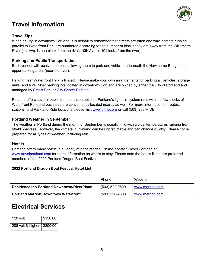

## **Travel Information**

#### **Travel Tips**

When driving in downtown Portland, it is helpful to remember that streets are often one way. Streets running parallel to Waterfront Park are numbered according to the number of blocks they are away from the Willamette River (1st Ave. is one block from the river; 10th Ave. is 10 blocks from the river).

#### **Parking and Public Transportation**

Each vendor will receive one pass allowing them to park one vehicle underneath the Hawthorne Bridge in the upper parking area, (near the river).

Parking near Waterfront Park is limited. Please make your own arrangements for parking all vehicles, storage units, and RVs. Most parking lots located in downtown Portland are owned by either the City of Portland and managed by Smart Park or City Center Parking.

Portland offers several public transportation options. Portland's light rail system runs within a few blocks of Waterfront Park and bus stops are conveniently located nearby as well. For more information on routes, stations, and Park and Ride locations please visit www.trimet.org or call (503) 238-RIDE.

#### **Portland Weather in September**

The weather in Portland during the month of September is usually mild with typical temperatures ranging from 60–80 degrees. However, the climate in Portland can be unpredictable and can change quickly. Please come prepared for all types of weather, including rain.

#### **Hotels**

Portland offers many hotels in a variety of price ranges. Please contact Travel Portland at www.travelportland.com for more information on where to stay. Please note the hotels listed are preferred members of the 2022 Portland Dragon Boat Festival.

#### **2022 Portland Dragon Boat Festival Hotel List**

|                                                   | Phone              | Website          |
|---------------------------------------------------|--------------------|------------------|
| <b>Residence Inn Portland Downtown/RiverPlace</b> | $(503) 522 - 9500$ | www.marriott.com |
| <b>Portland Marriott Downtown Waterfront</b>      | (503) 226-7600     | www.marriott.com |

## **Electrical Services**

| $120$ volt                   | \$150.00 |
|------------------------------|----------|
| 208 volt & higher   \$300.00 |          |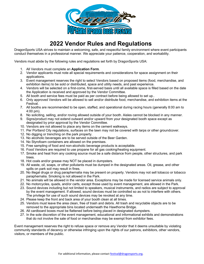

## **2022 Vendor Rules and Regulations**

DragonSports USA strives to maintain a welcoming, safe, and respectful family environment where event participants conduct themselves in a professional manner. We appreciate your patience, cooperation, and workability.

Vendors must abide by the following rules and regulations set forth by DragonSports USA:

- 1. All Vendors must complete an **Application Form**.
- 2. Vendor applicants must note all special requirements and considerations for space assignment on their applications.
- 3. Event management reserves the right to select Vendors based on proposed items (food, merchandise, and exhibition items) to be sold or distributed, space and utility needs, and past experience.
- 4. Vendors will be selected on a first-come, first-served basis until all available space is filled based on the date the Application is received and approved by the Vendor Committee.
- 5. All booth and service fees must be paid as per contract before being allowed to set up..
- 6. Only approved Vendors will be allowed to sell and/or distribute food, merchandise, and exhibition items at the Festival.
- 7. All booths are recommended to be open, staffed, and operational during racing hours (generally 8:00 am to 4:00 pm).
- 8. No soliciting, selling, and/or roving allowed outside of your booth. Aisles cannot be blocked in any manner.
- 9. Signs/product may not extend outward and/or upward from your designated booth space except as designated by prior approval by the Vendor Committee.
- 10. Vendors are not allowed to place any items on the cement walkways.
- 11. Per Portland City regulations, surfaces on the lawn may not be covered with tarps or other groundcover.
- 12. No digging or trenching on the park property.
- 13. No alcoholic beverages are to be served outside of the Beer Garden.
- 14. No Styrofoam containers are allowed on the premises.
- 15. Free sampling of food and non-alcoholic beverage products is acceptable.
- 16. Food Vendors are required to use propane for all gas cooking/heating equipment.
- 17. Smoke and heat from any cooking source must be a safe distance from people, other structures, and park trees.
- 18. Hot coals and/or grease may NOT be placed in dumpsters.
- 19. All waste, oil, soaps, or other pollutants must be dumped in the designated areas. Oil, grease, and other spills on park soil may result in fines.
- 20. No illegal drugs or drug paraphernalia may be present on property. Vendors may not sell tobacco or tobacco paraphernalia. Smoking is not allowed in the Park.
- 21. No animals will be allowed in the vendor area. Exceptions may be made for licensed service animals only.
- 22. No motorcycles, quads, and/or carts, except those used by event management, are allowed in the Park.
- 23. Sound devices including but not limited to speakers, musical instruments, and radios are subject to approval by the event management. If allowed, sound devices must be controlled so as not to interfere with others. The privilege for use of such sound devices may be revoked at any time.
- 24. Please keep the front and back area of your booth clean at all times.
- 25. Vendors must leave the area clean, free of trash and debris. All trash and recyclable objects are to be removed to the appropriate bins located underneath the Hawthorne Bridge.
- 26. All cardboard boxes must be flattened before being placed in designated dumpsters.
- 27. In the sole discretion of the event management, educational and informational exhibits and demonstrations that do not involve the sale of food or merchandise may be exempt from exhibitor fees.

Event management reserves the right to refuse space or remove any Vendor that it deems unsuitable by violating community standards of decency or otherwise infringing upon the rights of our patrons, exhibitors, other vendors, visitors, or members of the public.